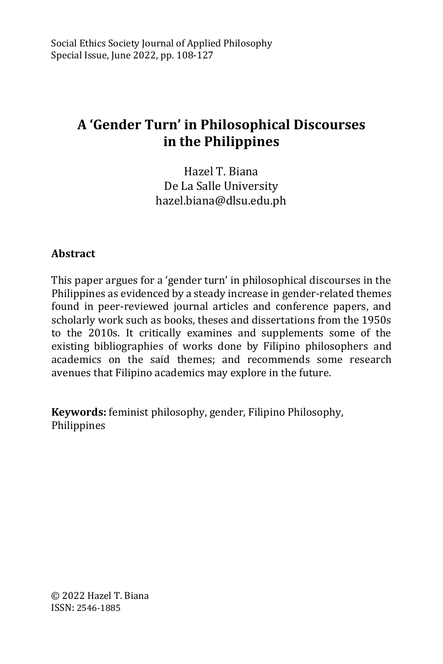# **A 'Gender Turn' in Philosophical Discourses in the Philippines**

Hazel T. Biana De La Salle University hazel.biana@dlsu.edu.ph

## **Abstract**

This paper argues for a 'gender turn' in philosophical discourses in the Philippines as evidenced by a steady increase in gender-related themes found in peer-reviewed journal articles and conference papers, and scholarly work such as books, theses and dissertations from the 1950s to the 2010s. It critically examines and supplements some of the existing bibliographies of works done by Filipino philosophers and academics on the said themes; and recommends some research avenues that Filipino academics may explore in the future.

**Keywords:** feminist philosophy, gender, Filipino Philosophy, Philippines

© 2022 Hazel T. Biana ISSN: 2546-1885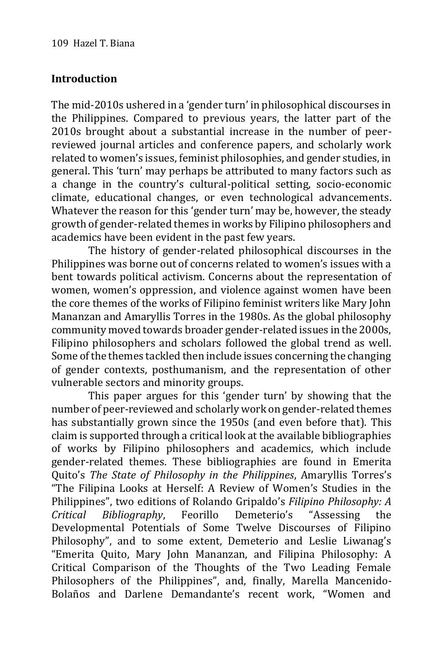## **Introduction**

The mid-2010s ushered in a 'gender turn' in philosophical discourses in the Philippines. Compared to previous years, the latter part of the 2010s brought about a substantial increase in the number of peerreviewed journal articles and conference papers, and scholarly work related to women's issues, feminist philosophies, and gender studies, in general. This 'turn' may perhaps be attributed to many factors such as a change in the country's cultural-political setting, socio-economic climate, educational changes, or even technological advancements. Whatever the reason for this 'gender turn' may be, however, the steady growth of gender-related themes in works by Filipino philosophers and academics have been evident in the past few years.

The history of gender-related philosophical discourses in the Philippines was borne out of concerns related to women's issues with a bent towards political activism. Concerns about the representation of women, women's oppression, and violence against women have been the core themes of the works of Filipino feminist writers like Mary John Mananzan and Amaryllis Torres in the 1980s. As the global philosophy community moved towards broader gender-related issues in the 2000s, Filipino philosophers and scholars followed the global trend as well. Some of the themes tackled then include issues concerning the changing of gender contexts, posthumanism, and the representation of other vulnerable sectors and minority groups.

This paper argues for this 'gender turn' by showing that the number of peer-reviewed and scholarly work on gender-related themes has substantially grown since the 1950s (and even before that). This claim is supported through a critical look at the available bibliographies of works by Filipino philosophers and academics, which include gender-related themes. These bibliographies are found in Emerita Quito's *The State of Philosophy in the Philippines*, Amaryllis Torres's "The Filipina Looks at Herself: A Review of Women's Studies in the Philippines", two editions of Rolando Gripaldo's *Filipino Philosophy: A Critical Bibliography*, Feorillo Demeterio's "Assessing the Developmental Potentials of Some Twelve Discourses of Filipino Philosophy", and to some extent, Demeterio and Leslie Liwanag's "Emerita Quito, Mary John Mananzan, and Filipina Philosophy: A Critical Comparison of the Thoughts of the Two Leading Female Philosophers of the Philippines", and, finally, Marella Mancenido-Bolaños and Darlene Demandante's recent work, "Women and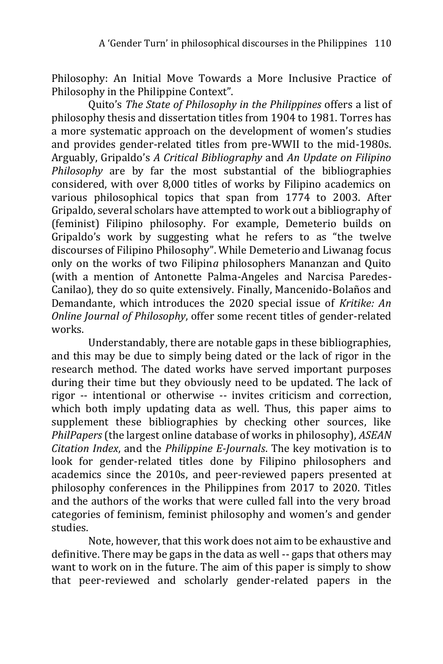Philosophy: An Initial Move Towards a More Inclusive Practice of Philosophy in the Philippine Context".

Quito's *The State of Philosophy in the Philippines* offers a list of philosophy thesis and dissertation titles from 1904 to 1981. Torres has a more systematic approach on the development of women's studies and provides gender-related titles from pre-WWII to the mid-1980s. Arguably, Gripaldo's *A Critical Bibliography* and *An Update on Filipino Philosophy* are by far the most substantial of the bibliographies considered, with over 8,000 titles of works by Filipino academics on various philosophical topics that span from 1774 to 2003. After Gripaldo, several scholars have attempted to work out a bibliography of (feminist) Filipino philosophy. For example, Demeterio builds on Gripaldo's work by suggesting what he refers to as "the twelve discourses of Filipino Philosophy". While Demeterio and Liwanag focus only on the works of two Filipin*a* philosophers Mananzan and Quito (with a mention of Antonette Palma-Angeles and Narcisa Paredes-Canilao), they do so quite extensively. Finally, Mancenido-Bolaños and Demandante, which introduces the 2020 special issue of *Kritike: An Online Journal of Philosophy*, offer some recent titles of gender-related works.

Understandably, there are notable gaps in these bibliographies, and this may be due to simply being dated or the lack of rigor in the research method. The dated works have served important purposes during their time but they obviously need to be updated. The lack of rigor -- intentional or otherwise -- invites criticism and correction, which both imply updating data as well. Thus, this paper aims to supplement these bibliographies by checking other sources, like *PhilPapers* (the largest online database of works in philosophy), *ASEAN Citation Index*, and the *Philippine E-Journals*. The key motivation is to look for gender-related titles done by Filipino philosophers and academics since the 2010s, and peer-reviewed papers presented at philosophy conferences in the Philippines from 2017 to 2020. Titles and the authors of the works that were culled fall into the very broad categories of feminism, feminist philosophy and women's and gender studies.

Note, however, that this work does not aim to be exhaustive and definitive. There may be gaps in the data as well -- gaps that others may want to work on in the future. The aim of this paper is simply to show that peer-reviewed and scholarly gender-related papers in the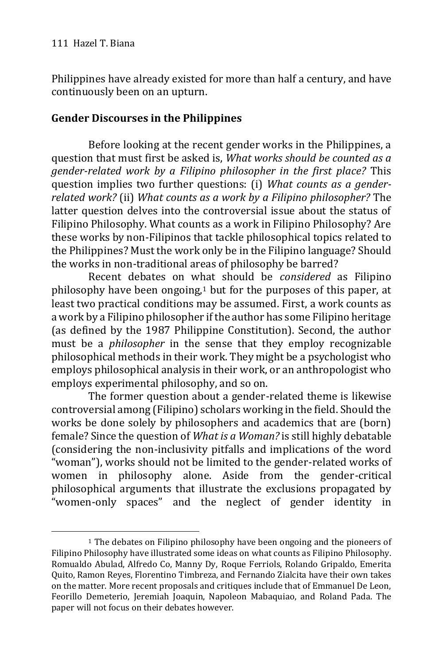-

Philippines have already existed for more than half a century, and have continuously been on an upturn.

## **Gender Discourses in the Philippines**

Before looking at the recent gender works in the Philippines, a question that must first be asked is, *What works should be counted as a gender-related work by a Filipino philosopher in the first place?* This question implies two further questions: (i) *What counts as a genderrelated work?* (ii) *What counts as a work by a Filipino philosopher?* The latter question delves into the controversial issue about the status of Filipino Philosophy. What counts as a work in Filipino Philosophy? Are these works by non-Filipinos that tackle philosophical topics related to the Philippines? Must the work only be in the Filipino language? Should the works in non-traditional areas of philosophy be barred?

Recent debates on what should be *considered* as Filipino philosophy have been ongoing,<sup>1</sup> but for the purposes of this paper, at least two practical conditions may be assumed. First, a work counts as a work by a Filipino philosopher if the author has some Filipino heritage (as defined by the 1987 Philippine Constitution). Second, the author must be a *philosopher* in the sense that they employ recognizable philosophical methods in their work. They might be a psychologist who employs philosophical analysis in their work, or an anthropologist who employs experimental philosophy, and so on.

The former question about a gender-related theme is likewise controversial among (Filipino) scholars working in the field. Should the works be done solely by philosophers and academics that are (born) female? Since the question of *What is a Woman?* is still highly debatable (considering the non-inclusivity pitfalls and implications of the word "woman"), works should not be limited to the gender-related works of women in philosophy alone. Aside from the gender-critical philosophical arguments that illustrate the exclusions propagated by "women-only spaces" and the neglect of gender identity in

<sup>&</sup>lt;sup>1</sup> The debates on Filipino philosophy have been ongoing and the pioneers of Filipino Philosophy have illustrated some ideas on what counts as Filipino Philosophy. Romualdo Abulad, Alfredo Co, Manny Dy, Roque Ferriols, Rolando Gripaldo, Emerita Quito, Ramon Reyes, Florentino Timbreza, and Fernando Zialcita have their own takes on the matter. More recent proposals and critiques include that of Emmanuel De Leon, Feorillo Demeterio, Jeremiah Joaquin, Napoleon Mabaquiao, and Roland Pada. The paper will not focus on their debates however.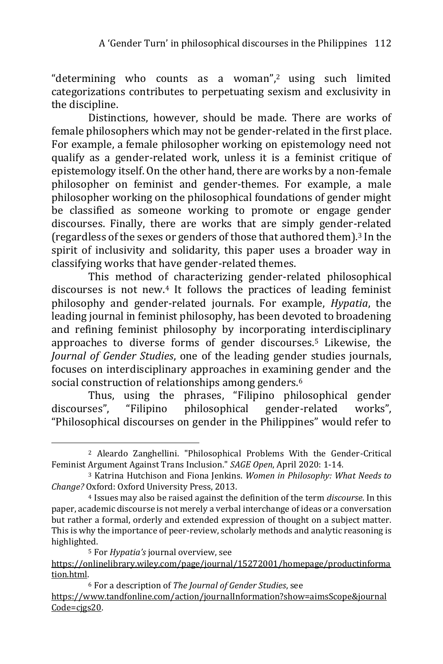"determining who counts as a woman",<sup>2</sup> using such limited categorizations contributes to perpetuating sexism and exclusivity in the discipline.

Distinctions, however, should be made. There are works of female philosophers which may not be gender-related in the first place. For example, a female philosopher working on epistemology need not qualify as a gender-related work, unless it is a feminist critique of epistemology itself. On the other hand, there are works by a non-female philosopher on feminist and gender-themes. For example, a male philosopher working on the philosophical foundations of gender might be classified as someone working to promote or engage gender discourses. Finally, there are works that are simply gender-related (regardless of the sexes or genders of those that authored them).<sup>3</sup> In the spirit of inclusivity and solidarity, this paper uses a broader way in classifying works that have gender-related themes.

This method of characterizing gender-related philosophical discourses is not new.<sup>4</sup> It follows the practices of leading feminist philosophy and gender-related journals. For example, *Hypatia*, the leading journal in feminist philosophy, has been devoted to broadening and refining feminist philosophy by incorporating interdisciplinary approaches to diverse forms of gender discourses.<sup>5</sup> Likewise, the *Journal of Gender Studies*, one of the leading gender studies journals, focuses on interdisciplinary approaches in examining gender and the social construction of relationships among genders.<sup>6</sup>

Thus, using the phrases, "Filipino philosophical gender discourses", "Filipino philosophical gender-related works", "Philosophical discourses on gender in the Philippines" would refer to

<sup>2</sup> Aleardo Zanghellini. "Philosophical Problems With the Gender-Critical Feminist Argument Against Trans Inclusion." *SAGE Open*, April 2020: 1-14.

<sup>3</sup> Katrina Hutchison and Fiona Jenkins. *Women in Philosophy: What Needs to Change?* Oxford: Oxford University Press, 2013.

<sup>4</sup> Issues may also be raised against the definition of the term *discourse*. In this paper, academic discourse is not merely a verbal interchange of ideas or a conversation but rather a formal, orderly and extended expression of thought on a subject matter. This is why the importance of peer-review, scholarly methods and analytic reasoning is highlighted.

<sup>5</sup> For *Hypatia's* journal overview, see

[https://onlinelibrary.wiley.com/page/journal/15272001/homepage/productinforma](https://onlinelibrary.wiley.com/page/journal/15272001/homepage/productinformation.html) [tion.html.](https://onlinelibrary.wiley.com/page/journal/15272001/homepage/productinformation.html) 

<sup>6</sup> For a description of *The Journal of Gender Studies*, see [https://www.tandfonline.com/action/journalInformation?show=aimsScope&journal](https://www.tandfonline.com/action/journalInformation?show=aimsScope&journalCode=cjgs20) [Code=cjgs20.](https://www.tandfonline.com/action/journalInformation?show=aimsScope&journalCode=cjgs20)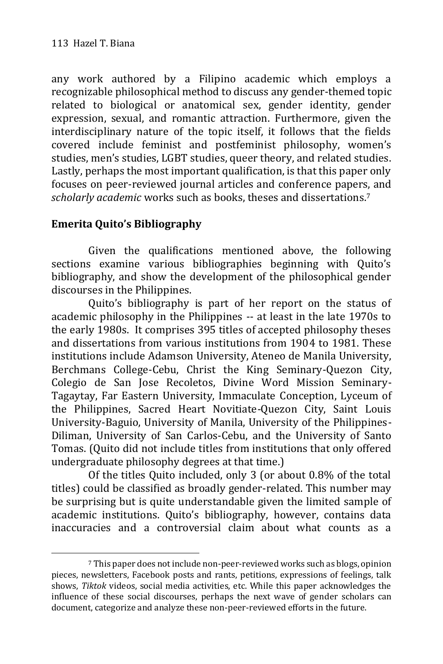any work authored by a Filipino academic which employs a recognizable philosophical method to discuss any gender-themed topic related to biological or anatomical sex, gender identity, gender expression, sexual, and romantic attraction. Furthermore, given the interdisciplinary nature of the topic itself, it follows that the fields covered include feminist and postfeminist philosophy, women's studies, men's studies, LGBT studies, queer theory, and related studies. Lastly, perhaps the most important qualification, is that this paper only focuses on peer-reviewed journal articles and conference papers, and *scholarly academic* works such as books, theses and dissertations.<sup>7</sup>

# **Emerita Quito's Bibliography**

-

Given the qualifications mentioned above, the following sections examine various bibliographies beginning with Quito's bibliography, and show the development of the philosophical gender discourses in the Philippines.

Quito's bibliography is part of her report on the status of academic philosophy in the Philippines -- at least in the late 1970s to the early 1980s. It comprises 395 titles of accepted philosophy theses and dissertations from various institutions from 1904 to 1981. These institutions include Adamson University, Ateneo de Manila University, Berchmans College-Cebu, Christ the King Seminary-Quezon City, Colegio de San Jose Recoletos, Divine Word Mission Seminary-Tagaytay, Far Eastern University, Immaculate Conception, Lyceum of the Philippines, Sacred Heart Novitiate-Quezon City, Saint Louis University-Baguio, University of Manila, University of the Philippines-Diliman, University of San Carlos-Cebu, and the University of Santo Tomas. (Quito did not include titles from institutions that only offered undergraduate philosophy degrees at that time.)

Of the titles Quito included, only 3 (or about 0.8% of the total titles) could be classified as broadly gender-related. This number may be surprising but is quite understandable given the limited sample of academic institutions. Quito's bibliography, however, contains data inaccuracies and a controversial claim about what counts as a

<sup>7</sup> This paper does not include non-peer-reviewed works such as blogs, opinion pieces, newsletters, Facebook posts and rants, petitions, expressions of feelings, talk shows, *Tiktok* videos, social media activities, etc. While this paper acknowledges the influence of these social discourses, perhaps the next wave of gender scholars can document, categorize and analyze these non-peer-reviewed efforts in the future.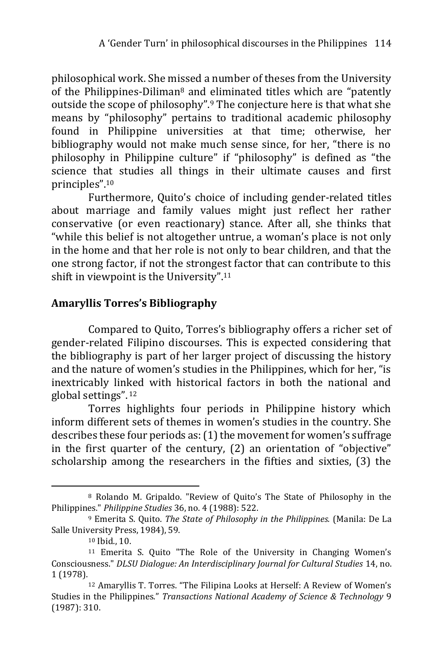philosophical work. She missed a number of theses from the University of the Philippines-Diliman<sup>8</sup> and eliminated titles which are "patently outside the scope of philosophy".<sup>9</sup> The conjecture here is that what she means by "philosophy" pertains to traditional academic philosophy found in Philippine universities at that time; otherwise, her bibliography would not make much sense since, for her, "there is no philosophy in Philippine culture" if "philosophy" is defined as "the science that studies all things in their ultimate causes and first principles".<sup>10</sup>

Furthermore, Quito's choice of including gender-related titles about marriage and family values might just reflect her rather conservative (or even reactionary) stance. After all, she thinks that "while this belief is not altogether untrue, a woman's place is not only in the home and that her role is not only to bear children, and that the one strong factor, if not the strongest factor that can contribute to this shift in viewpoint is the University". 11

## **Amaryllis Torres's Bibliography**

Compared to Quito, Torres's bibliography offers a richer set of gender-related Filipino discourses. This is expected considering that the bibliography is part of her larger project of discussing the history and the nature of women's studies in the Philippines, which for her, "is inextricably linked with historical factors in both the national and global settings". <sup>12</sup>

Torres highlights four periods in Philippine history which inform different sets of themes in women's studies in the country. She describes these four periods as: (1) the movement for women's suffrage in the first quarter of the century, (2) an orientation of "objective" scholarship among the researchers in the fifties and sixties, (3) the

<sup>8</sup> Rolando M. Gripaldo. "Review of Quito's The State of Philosophy in the Philippines." *Philippine Studies* 36, no. 4 (1988): 522.

<sup>9</sup> Emerita S. Quito. *The State of Philosophy in the Philippines.* (Manila: De La Salle University Press, 1984), 59.

<sup>10</sup> Ibid., 10.

<sup>11</sup> Emerita S. Quito "The Role of the University in Changing Women's Consciousness." *DLSU Dialogue: An Interdisciplinary Journal for Cultural Studies* 14, no. 1 (1978).

<sup>12</sup> Amaryllis T. Torres. "The Filipina Looks at Herself: A Review of Women's Studies in the Philippines." *Transactions National Academy of Science & Technology* 9 (1987): 310.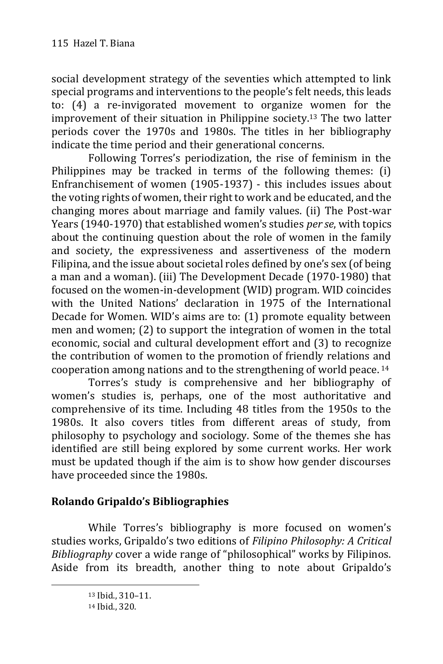social development strategy of the seventies which attempted to link special programs and interventions to the people's felt needs, this leads to: (4) a re-invigorated movement to organize women for the improvement of their situation in Philippine society.<sup>13</sup> The two latter periods cover the 1970s and 1980s. The titles in her bibliography indicate the time period and their generational concerns.

Following Torres's periodization, the rise of feminism in the Philippines may be tracked in terms of the following themes: (i) Enfranchisement of women (1905-1937) - this includes issues about the voting rights of women, their right to work and be educated, and the changing mores about marriage and family values. (ii) The Post-war Years (1940-1970) that established women's studies *per se*, with topics about the continuing question about the role of women in the family and society, the expressiveness and assertiveness of the modern Filipina, and the issue about societal roles defined by one's sex (of being a man and a woman). (iii) The Development Decade (1970-1980) that focused on the women-in-development (WID) program. WID coincides with the United Nations' declaration in 1975 of the International Decade for Women. WID's aims are to: (1) promote equality between men and women; (2) to support the integration of women in the total economic, social and cultural development effort and (3) to recognize the contribution of women to the promotion of friendly relations and cooperation among nations and to the strengthening of world peace. <sup>14</sup>

Torres's study is comprehensive and her bibliography of women's studies is, perhaps, one of the most authoritative and comprehensive of its time. Including 48 titles from the 1950s to the 1980s. It also covers titles from different areas of study, from philosophy to psychology and sociology. Some of the themes she has identified are still being explored by some current works. Her work must be updated though if the aim is to show how gender discourses have proceeded since the 1980s.

## **Rolando Gripaldo's Bibliographies**

While Torres's bibliography is more focused on women's studies works, Gripaldo's two editions of *Filipino Philosophy: A Critical Bibliography* cover a wide range of "philosophical" works by Filipinos. Aside from its breadth, another thing to note about Gripaldo's

<sup>13</sup> Ibid., 310–11.

<sup>14</sup> Ibid., 320.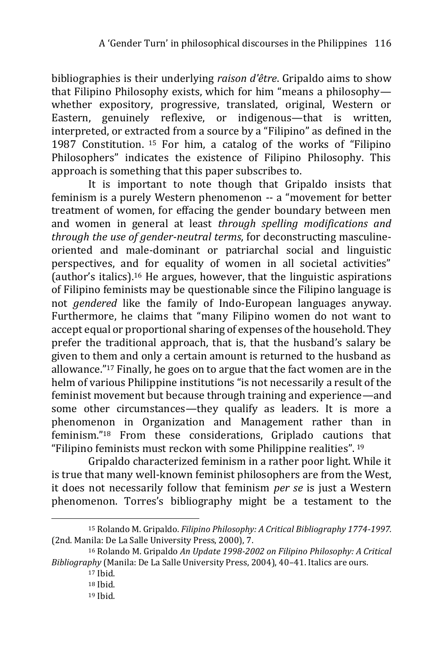bibliographies is their underlying *raison d'être*. Gripaldo aims to show that Filipino Philosophy exists, which for him "means a philosophy whether expository, progressive, translated, original, Western or Eastern, genuinely reflexive, or indigenous—that is written, interpreted, or extracted from a source by a "Filipino" as defined in the 1987 Constitution. <sup>15</sup> For him, a catalog of the works of "Filipino Philosophers" indicates the existence of Filipino Philosophy. This approach is something that this paper subscribes to.

It is important to note though that Gripaldo insists that feminism is a purely Western phenomenon -- a "movement for better treatment of women, for effacing the gender boundary between men and women in general at least *through spelling modifications and through the use of gender-neutral terms*, for deconstructing masculineoriented and male-dominant or patriarchal social and linguistic perspectives, and for equality of women in all societal activities" (author's italics).<sup>16</sup> He argues, however, that the linguistic aspirations of Filipino feminists may be questionable since the Filipino language is not *gendered* like the family of Indo-European languages anyway. Furthermore, he claims that "many Filipino women do not want to accept equal or proportional sharing of expenses of the household. They prefer the traditional approach, that is, that the husband's salary be given to them and only a certain amount is returned to the husband as allowance."<sup>17</sup> Finally, he goes on to argue that the fact women are in the helm of various Philippine institutions "is not necessarily a result of the feminist movement but because through training and experience—and some other circumstances—they qualify as leaders. It is more a phenomenon in Organization and Management rather than in feminism."<sup>18</sup> From these considerations, Griplado cautions that "Filipino feminists must reckon with some Philippine realities".  $19$ 

Gripaldo characterized feminism in a rather poor light. While it is true that many well-known feminist philosophers are from the West, it does not necessarily follow that feminism *per se* is just a Western phenomenon. Torres's bibliography might be a testament to the

<sup>-</sup><sup>15</sup> Rolando M. Gripaldo. *Filipino Philosophy: A Critical Bibliography 1774-1997.* (2nd. Manila: De La Salle University Press, 2000), 7.

<sup>16</sup> Rolando M. Gripaldo *An Update 1998-2002 on Filipino Philosophy: A Critical Bibliography* (Manila: De La Salle University Press, 2004), 40–41. Italics are ours.

<sup>17</sup> Ibid.

<sup>18</sup> Ibid.

<sup>19</sup> Ibid.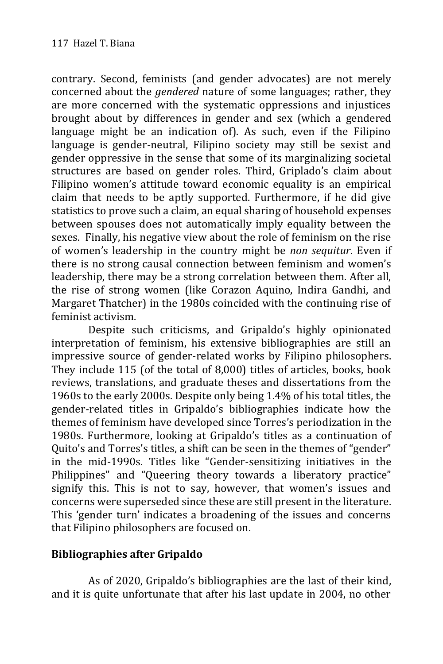contrary. Second, feminists (and gender advocates) are not merely concerned about the *gendered* nature of some languages; rather, they are more concerned with the systematic oppressions and injustices brought about by differences in gender and sex (which a gendered language might be an indication of). As such, even if the Filipino language is gender-neutral, Filipino society may still be sexist and gender oppressive in the sense that some of its marginalizing societal structures are based on gender roles. Third, Griplado's claim about Filipino women's attitude toward economic equality is an empirical claim that needs to be aptly supported. Furthermore, if he did give statistics to prove such a claim, an equal sharing of household expenses between spouses does not automatically imply equality between the sexes. Finally, his negative view about the role of feminism on the rise of women's leadership in the country might be *non sequitur*. Even if there is no strong causal connection between feminism and women's leadership, there may be a strong correlation between them. After all, the rise of strong women (like Corazon Aquino, Indira Gandhi, and Margaret Thatcher) in the 1980s coincided with the continuing rise of feminist activism.

Despite such criticisms, and Gripaldo's highly opinionated interpretation of feminism, his extensive bibliographies are still an impressive source of gender-related works by Filipino philosophers. They include 115 (of the total of 8,000) titles of articles, books, book reviews, translations, and graduate theses and dissertations from the 1960s to the early 2000s. Despite only being 1.4% of his total titles, the gender-related titles in Gripaldo's bibliographies indicate how the themes of feminism have developed since Torres's periodization in the 1980s. Furthermore, looking at Gripaldo's titles as a continuation of Quito's and Torres's titles, a shift can be seen in the themes of "gender" in the mid-1990s. Titles like "Gender-sensitizing initiatives in the Philippines" and "Queering theory towards a liberatory practice" signify this. This is not to say, however, that women's issues and concerns were superseded since these are still present in the literature. This 'gender turn' indicates a broadening of the issues and concerns that Filipino philosophers are focused on.

## **Bibliographies after Gripaldo**

As of 2020, Gripaldo's bibliographies are the last of their kind, and it is quite unfortunate that after his last update in 2004, no other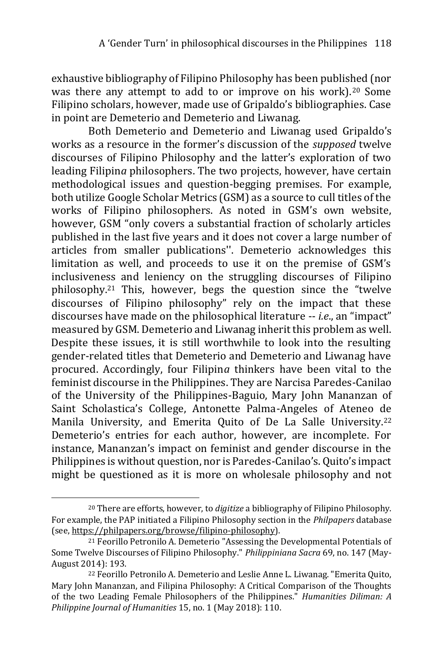exhaustive bibliography of Filipino Philosophy has been published (nor was there any attempt to add to or improve on his work).<sup>20</sup> Some Filipino scholars, however, made use of Gripaldo's bibliographies. Case in point are Demeterio and Demeterio and Liwanag.

Both Demeterio and Demeterio and Liwanag used Gripaldo's works as a resource in the former's discussion of the *supposed* twelve discourses of Filipino Philosophy and the latter's exploration of two leading Filipin*a* philosophers. The two projects, however, have certain methodological issues and question-begging premises. For example, both utilize Google Scholar Metrics (GSM) as a source to cull titles of the works of Filipino philosophers. As noted in GSM's own website, however, GSM "only covers a substantial fraction of scholarly articles published in the last five years and it does not cover a large number of articles from smaller publications''. Demeterio acknowledges this limitation as well, and proceeds to use it on the premise of GSM's inclusiveness and leniency on the struggling discourses of Filipino philosophy.<sup>21</sup> This, however, begs the question since the "twelve discourses of Filipino philosophy" rely on the impact that these discourses have made on the philosophical literature -- *i.e*., an "impact" measured by GSM. Demeterio and Liwanag inherit this problem as well. Despite these issues, it is still worthwhile to look into the resulting gender-related titles that Demeterio and Demeterio and Liwanag have procured. Accordingly, four Filipin*a* thinkers have been vital to the feminist discourse in the Philippines. They are Narcisa Paredes-Canilao of the University of the Philippines-Baguio, Mary John Mananzan of Saint Scholastica's College, Antonette Palma-Angeles of Ateneo de Manila University, and Emerita Quito of De La Salle University.<sup>22</sup> Demeterio's entries for each author, however, are incomplete. For instance, Mananzan's impact on feminist and gender discourse in the Philippines is without question, nor is Paredes-Canilao's. Quito's impact might be questioned as it is more on wholesale philosophy and not

<sup>20</sup> There are efforts, however, to *digitize* a bibliography of Filipino Philosophy. For example, the PAP initiated a Filipino Philosophy section in the *Philpapers* database (see[, https://philpapers.org/browse/filipino-philosophy\)](https://philpapers.org/browse/filipino-philosophy).

<sup>21</sup> Feorillo Petronilo A. Demeterio "Assessing the Developmental Potentials of Some Twelve Discourses of Filipino Philosophy." *Philippiniana Sacra* 69, no. 147 (May-August 2014): 193.

<sup>22</sup> Feorillo Petronilo A. Demeterio and Leslie Anne L. Liwanag. "Emerita Quito, Mary John Mananzan, and Filipina Philosophy: A Critical Comparison of the Thoughts of the two Leading Female Philosophers of the Philippines." *Humanities Diliman: A Philippine Journal of Humanities* 15, no. 1 (May 2018): 110.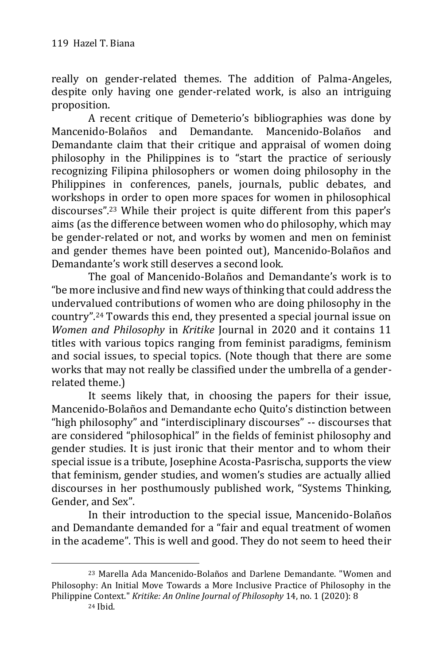really on gender-related themes. The addition of Palma-Angeles, despite only having one gender-related work, is also an intriguing proposition.

A recent critique of Demeterio's bibliographies was done by Mancenido-Bolaños and Demandante. Mancenido-Bolaños and Demandante claim that their critique and appraisal of women doing philosophy in the Philippines is to "start the practice of seriously recognizing Filipina philosophers or women doing philosophy in the Philippines in conferences, panels, journals, public debates, and workshops in order to open more spaces for women in philosophical discourses".<sup>23</sup> While their project is quite different from this paper's aims (as the difference between women who do philosophy, which may be gender-related or not, and works by women and men on feminist and gender themes have been pointed out), Mancenido-Bolaños and Demandante's work still deserves a second look.

The goal of Mancenido-Bolaños and Demandante's work is to "be more inclusive and find new ways of thinking that could address the undervalued contributions of women who are doing philosophy in the country".<sup>24</sup> Towards this end, they presented a special journal issue on *Women and Philosophy* in *Kritike* Journal in 2020 and it contains 11 titles with various topics ranging from feminist paradigms, feminism and social issues, to special topics. (Note though that there are some works that may not really be classified under the umbrella of a genderrelated theme.)

It seems likely that, in choosing the papers for their issue, Mancenido-Bolaños and Demandante echo Quito's distinction between "high philosophy" and "interdisciplinary discourses" -- discourses that are considered "philosophical" in the fields of feminist philosophy and gender studies. It is just ironic that their mentor and to whom their special issue is a tribute, Josephine Acosta-Pasrischa, supports the view that feminism, gender studies, and women's studies are actually allied discourses in her posthumously published work, "Systems Thinking, Gender, and Sex".

In their introduction to the special issue, Mancenido-Bolaños and Demandante demanded for a "fair and equal treatment of women in the academe". This is well and good. They do not seem to heed their

<sup>23</sup> Marella Ada Mancenido-Bolaños and Darlene Demandante. "Women and Philosophy: An Initial Move Towards a More Inclusive Practice of Philosophy in the Philippine Context." *Kritike: An Online Journal of Philosophy* 14, no. 1 (2020): 8

<sup>24</sup> Ibid.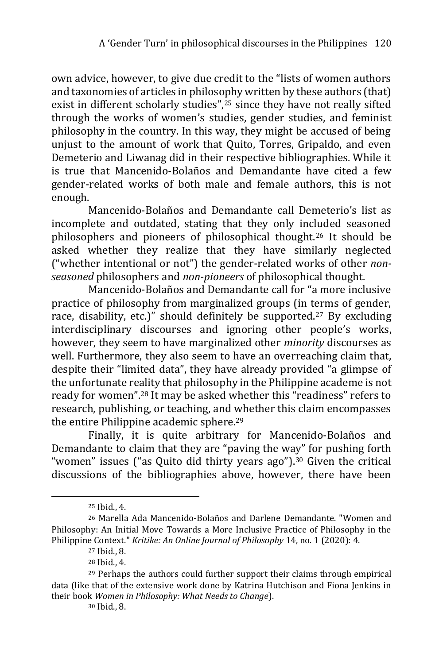own advice, however, to give due credit to the "lists of women authors and taxonomies of articles in philosophy written by these authors (that) exist in different scholarly studies",<sup>25</sup> since they have not really sifted through the works of women's studies, gender studies, and feminist philosophy in the country. In this way, they might be accused of being unjust to the amount of work that Quito, Torres, Gripaldo, and even Demeterio and Liwanag did in their respective bibliographies. While it is true that Mancenido-Bolaños and Demandante have cited a few gender-related works of both male and female authors, this is not enough.

Mancenido-Bolaños and Demandante call Demeterio's list as incomplete and outdated, stating that they only included seasoned philosophers and pioneers of philosophical thought.<sup>26</sup> It should be asked whether they realize that they have similarly neglected ("whether intentional or not") the gender-related works of other *nonseasoned* philosophers and *non-pioneers* of philosophical thought.

Mancenido-Bolaños and Demandante call for "a more inclusive practice of philosophy from marginalized groups (in terms of gender, race, disability, etc.)" should definitely be supported.<sup>27</sup> By excluding interdisciplinary discourses and ignoring other people's works, however, they seem to have marginalized other *minority* discourses as well. Furthermore, they also seem to have an overreaching claim that, despite their "limited data", they have already provided "a glimpse of the unfortunate reality that philosophy in the Philippine academe is not ready for women".<sup>28</sup> It may be asked whether this "readiness" refers to research, publishing, or teaching, and whether this claim encompasses the entire Philippine academic sphere.<sup>29</sup>

Finally, it is quite arbitrary for Mancenido-Bolaños and Demandante to claim that they are "paving the way" for pushing forth "women" issues ("as Quito did thirty years ago").<sup>30</sup> Given the critical discussions of the bibliographies above, however, there have been

<sup>25</sup> Ibid., 4.

<sup>26</sup> Marella Ada Mancenido-Bolaños and Darlene Demandante. "Women and Philosophy: An Initial Move Towards a More Inclusive Practice of Philosophy in the Philippine Context." *Kritike: An Online Journal of Philosophy* 14, no. 1 (2020): 4.

<sup>27</sup> Ibid., 8.

<sup>28</sup> Ibid., 4.

<sup>29</sup> Perhaps the authors could further support their claims through empirical data (like that of the extensive work done by Katrina Hutchison and Fiona Jenkins in their book *Women in Philosophy: What Needs to Change*).

<sup>30</sup> Ibid., 8.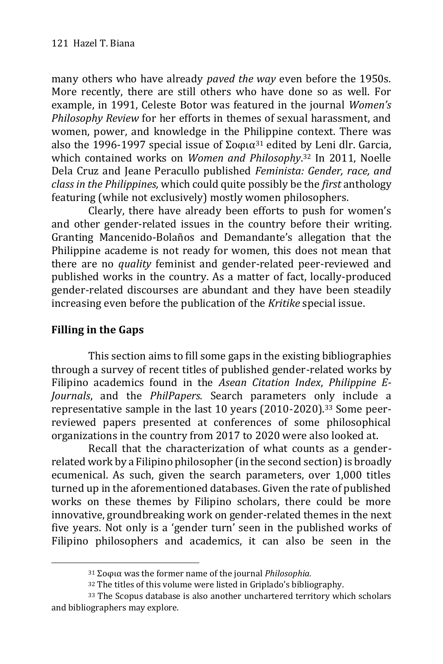many others who have already *paved the way* even before the 1950s. More recently, there are still others who have done so as well. For example, in 1991, Celeste Botor was featured in the journal *Women's Philosophy Review* for her efforts in themes of sexual harassment, and women, power, and knowledge in the Philippine context. There was also the 1996-1997 special issue of Σοφια<sup>31</sup> edited by Leni dlr. Garcia, which contained works on *Women and Philosophy*. <sup>32</sup> In 2011, Noelle Dela Cruz and Jeane Peracullo published *Feminista: Gender, race, and class in the Philippines,* which could quite possibly be the *first* anthology featuring (while not exclusively) mostly women philosophers.

Clearly, there have already been efforts to push for women's and other gender-related issues in the country before their writing. Granting Mancenido-Bolaños and Demandante's allegation that the Philippine academe is not ready for women, this does not mean that there are no *quality* feminist and gender-related peer-reviewed and published works in the country. As a matter of fact, locally-produced gender-related discourses are abundant and they have been steadily increasing even before the publication of the *Kritike* special issue.

## **Filling in the Gaps**

-

This section aims to fill some gaps in the existing bibliographies through a survey of recent titles of published gender-related works by Filipino academics found in the *Asean Citation Index*, *Philippine E-Journals*, and the *PhilPapers.* Search parameters only include a representative sample in the last 10 years (2010-2020).<sup>33</sup> Some peerreviewed papers presented at conferences of some philosophical organizations in the country from 2017 to 2020 were also looked at.

Recall that the characterization of what counts as a genderrelated work by a Filipino philosopher (in the second section) is broadly ecumenical. As such, given the search parameters, over 1,000 titles turned up in the aforementioned databases. Given the rate of published works on these themes by Filipino scholars, there could be more innovative, groundbreaking work on gender-related themes in the next five years. Not only is a 'gender turn' seen in the published works of Filipino philosophers and academics, it can also be seen in the

<sup>31</sup> Σοφια was the former name of the journal *Philosophia.*

<sup>32</sup> The titles of this volume were listed in Griplado's bibliography.

<sup>33</sup> The Scopus database is also another unchartered territory which scholars and bibliographers may explore.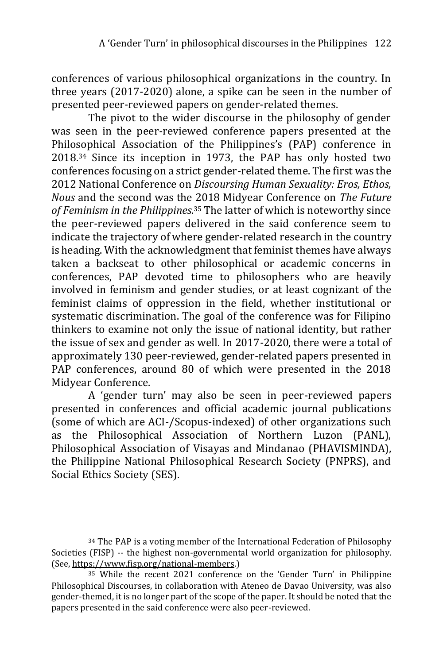conferences of various philosophical organizations in the country. In three years (2017-2020) alone, a spike can be seen in the number of presented peer-reviewed papers on gender-related themes.

The pivot to the wider discourse in the philosophy of gender was seen in the peer-reviewed conference papers presented at the Philosophical Association of the Philippines's (PAP) conference in 2018.<sup>34</sup> Since its inception in 1973, the PAP has only hosted two conferences focusing on a strict gender-related theme. The first was the 2012 National Conference on *Discoursing Human Sexuality: Eros, Ethos, Nous* and the second was the 2018 Midyear Conference on *The Future of Feminism in the Philippines*. <sup>35</sup> The latter of which is noteworthy since the peer-reviewed papers delivered in the said conference seem to indicate the trajectory of where gender-related research in the country is heading. With the acknowledgment that feminist themes have always taken a backseat to other philosophical or academic concerns in conferences, PAP devoted time to philosophers who are heavily involved in feminism and gender studies, or at least cognizant of the feminist claims of oppression in the field, whether institutional or systematic discrimination. The goal of the conference was for Filipino thinkers to examine not only the issue of national identity, but rather the issue of sex and gender as well. In 2017-2020, there were a total of approximately 130 peer-reviewed, gender-related papers presented in PAP conferences, around 80 of which were presented in the 2018 Midyear Conference.

A 'gender turn' may also be seen in peer-reviewed papers presented in conferences and official academic journal publications (some of which are ACI-/Scopus-indexed) of other organizations such as the Philosophical Association of Northern Luzon (PANL), Philosophical Association of Visayas and Mindanao (PHAVISMINDA), the Philippine National Philosophical Research Society (PNPRS), and Social Ethics Society (SES).

<sup>-</sup><sup>34</sup> The PAP is a voting member of the International Federation of Philosophy Societies (FISP) -- the highest non-governmental world organization for philosophy. (See[, https://www.fisp.org/national-members.\)](https://www.fisp.org/national-members)

<sup>35</sup> While the recent 2021 conference on the 'Gender Turn' in Philippine Philosophical Discourses, in collaboration with Ateneo de Davao University, was also gender-themed, it is no longer part of the scope of the paper. It should be noted that the papers presented in the said conference were also peer-reviewed.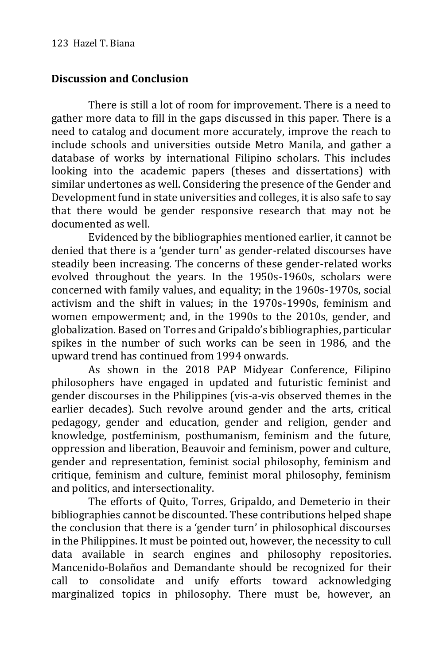## **Discussion and Conclusion**

There is still a lot of room for improvement. There is a need to gather more data to fill in the gaps discussed in this paper. There is a need to catalog and document more accurately, improve the reach to include schools and universities outside Metro Manila, and gather a database of works by international Filipino scholars. This includes looking into the academic papers (theses and dissertations) with similar undertones as well. Considering the presence of the Gender and Development fund in state universities and colleges, it is also safe to say that there would be gender responsive research that may not be documented as well.

Evidenced by the bibliographies mentioned earlier, it cannot be denied that there is a 'gender turn' as gender-related discourses have steadily been increasing. The concerns of these gender-related works evolved throughout the years. In the 1950s-1960s, scholars were concerned with family values, and equality; in the 1960s-1970s, social activism and the shift in values; in the 1970s-1990s, feminism and women empowerment; and, in the 1990s to the 2010s, gender, and globalization. Based on Torres and Gripaldo's bibliographies, particular spikes in the number of such works can be seen in 1986, and the upward trend has continued from 1994 onwards.

As shown in the 2018 PAP Midyear Conference, Filipino philosophers have engaged in updated and futuristic feminist and gender discourses in the Philippines (vis-a-vis observed themes in the earlier decades). Such revolve around gender and the arts, critical pedagogy, gender and education, gender and religion, gender and knowledge, postfeminism, posthumanism, feminism and the future, oppression and liberation, Beauvoir and feminism, power and culture, gender and representation, feminist social philosophy, feminism and critique, feminism and culture, feminist moral philosophy, feminism and politics, and intersectionality.

The efforts of Quito, Torres, Gripaldo, and Demeterio in their bibliographies cannot be discounted. These contributions helped shape the conclusion that there is a 'gender turn' in philosophical discourses in the Philippines. It must be pointed out, however, the necessity to cull data available in search engines and philosophy repositories. Mancenido-Bolaños and Demandante should be recognized for their call to consolidate and unify efforts toward acknowledging marginalized topics in philosophy. There must be, however, an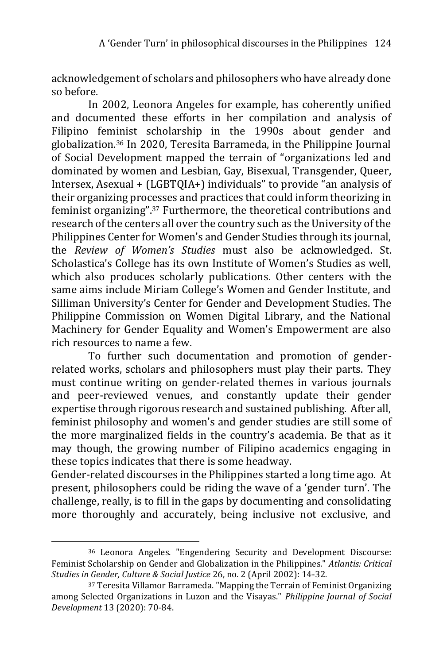acknowledgement of scholars and philosophers who have already done so before.

In 2002, Leonora Angeles for example, has coherently unified and documented these efforts in her compilation and analysis of Filipino feminist scholarship in the 1990s about gender and globalization.<sup>36</sup> In 2020, Teresita Barrameda, in the Philippine Journal of Social Development mapped the terrain of "organizations led and dominated by women and Lesbian, Gay, Bisexual, Transgender, Queer, Intersex, Asexual + (LGBTQIA+) individuals" to provide "an analysis of their organizing processes and practices that could inform theorizing in feminist organizing".<sup>37</sup> Furthermore, the theoretical contributions and research of the centers all over the country such as the University of the Philippines Center for Women's and Gender Studies through its journal, the *Review of Women's Studies* must also be acknowledged. St. Scholastica's College has its own Institute of Women's Studies as well, which also produces scholarly publications. Other centers with the same aims include Miriam College's Women and Gender Institute, and Silliman University's Center for Gender and Development Studies. The Philippine Commission on Women Digital Library, and the National Machinery for Gender Equality and Women's Empowerment are also rich resources to name a few.

To further such documentation and promotion of genderrelated works, scholars and philosophers must play their parts. They must continue writing on gender-related themes in various journals and peer-reviewed venues, and constantly update their gender expertise through rigorous research and sustained publishing. After all, feminist philosophy and women's and gender studies are still some of the more marginalized fields in the country's academia. Be that as it may though, the growing number of Filipino academics engaging in these topics indicates that there is some headway.

Gender-related discourses in the Philippines started a long time ago. At present, philosophers could be riding the wave of a 'gender turn'. The challenge, really, is to fill in the gaps by documenting and consolidating more thoroughly and accurately, being inclusive not exclusive, and

<sup>36</sup> Leonora Angeles. "Engendering Security and Development Discourse: Feminist Scholarship on Gender and Globalization in the Philippines." *Atlantis: Critical Studies in Gender, Culture & Social Justice* 26, no. 2 (April 2002): 14-32.

<sup>37</sup> Teresita Villamor Barrameda. "Mapping the Terrain of Feminist Organizing among Selected Organizations in Luzon and the Visayas." *Philippine Journal of Social Development* 13 (2020): 70-84.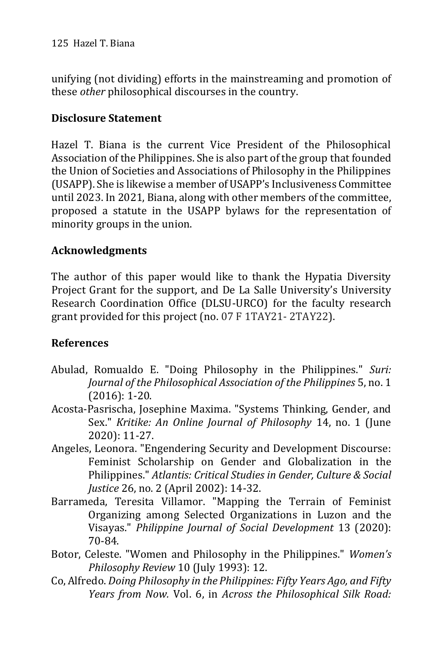unifying (not dividing) efforts in the mainstreaming and promotion of these *other* philosophical discourses in the country.

# **Disclosure Statement**

Hazel T. Biana is the current Vice President of the Philosophical Association of the Philippines. She is also part of the group that founded the Union of Societies and Associations of Philosophy in the Philippines (USAPP). She is likewise a member of USAPP's Inclusiveness Committee until 2023. In 2021, Biana, along with other members of the committee, proposed a statute in the USAPP bylaws for the representation of minority groups in the union.

# **Acknowledgments**

The author of this paper would like to thank the Hypatia Diversity Project Grant for the support, and De La Salle University's University Research Coordination Office (DLSU-URCO) for the faculty research grant provided for this project (no. 07 F 1TAY21- 2TAY22).

# **References**

- Abulad, Romualdo E. "Doing Philosophy in the Philippines." *Suri: Journal of the Philosophical Association of the Philippines* 5, no. 1 (2016): 1-20.
- Acosta-Pasrischa, Josephine Maxima. "Systems Thinking, Gender, and Sex." *Kritike: An Online Journal of Philosophy* 14, no. 1 (June 2020): 11-27.
- Angeles, Leonora. "Engendering Security and Development Discourse: Feminist Scholarship on Gender and Globalization in the Philippines." *Atlantis: Critical Studies in Gender, Culture & Social Justice* 26, no. 2 (April 2002): 14-32.
- Barrameda, Teresita Villamor. "Mapping the Terrain of Feminist Organizing among Selected Organizations in Luzon and the Visayas." *Philippine Journal of Social Development* 13 (2020): 70-84.
- Botor, Celeste. "Women and Philosophy in the Philippines." *Women's Philosophy Review* 10 (July 1993): 12.
- Co, Alfredo. *Doing Philosophy in the Philippines: Fifty Years Ago, and Fifty Years from Now.* Vol. 6, in *Across the Philosophical Silk Road:*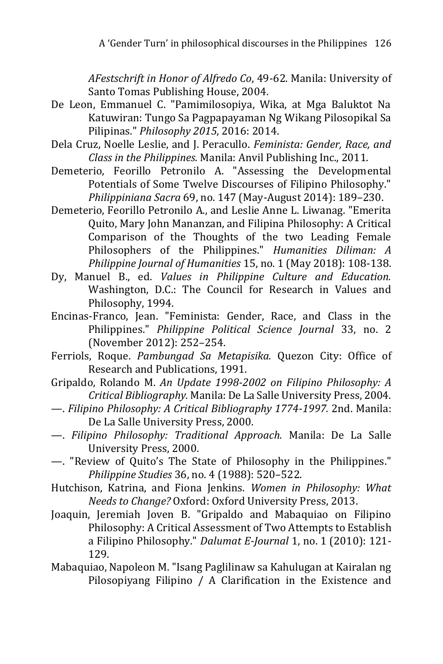*AFestschrift in Honor of Alfredo Co*, 49-62. Manila: University of Santo Tomas Publishing House, 2004.

- De Leon, Emmanuel C. "Pamimilosopiya, Wika, at Mga Baluktot Na Katuwiran: Tungo Sa Pagpapayaman Ng Wikang Pilosopikal Sa Pilipinas." *Philosophy 2015*, 2016: 2014.
- Dela Cruz, Noelle Leslie, and J. Peracullo. *Feminista: Gender, Race, and Class in the Philippines.* Manila: Anvil Publishing Inc., 2011.
- Demeterio, Feorillo Petronilo A. "Assessing the Developmental Potentials of Some Twelve Discourses of Filipino Philosophy." *Philippiniana Sacra* 69, no. 147 (May-August 2014): 189–230.
- Demeterio, Feorillo Petronilo A., and Leslie Anne L. Liwanag. "Emerita Quito, Mary John Mananzan, and Filipina Philosophy: A Critical Comparison of the Thoughts of the two Leading Female Philosophers of the Philippines." *Humanities Diliman: A Philippine Journal of Humanities* 15, no. 1 (May 2018): 108-138.
- Dy, Manuel B., ed. *Values in Philippine Culture and Education.* Washington, D.C.: The Council for Research in Values and Philosophy, 1994.
- Encinas-Franco, Jean. "Feminista: Gender, Race, and Class in the Philippines." *Philippine Political Science Journal* 33, no. 2 (November 2012): 252–254.
- Ferriols, Roque. *Pambungad Sa Metapisika.* Quezon City: Office of Research and Publications, 1991.
- Gripaldo, Rolando M. *An Update 1998-2002 on Filipino Philosophy: A Critical Bibliography.* Manila: De La Salle University Press, 2004.
- —. *Filipino Philosophy: A Critical Bibliography 1774-1997.* 2nd. Manila: De La Salle University Press, 2000.
- —. *Filipino Philosophy: Traditional Approach.* Manila: De La Salle University Press, 2000.
- —. "Review of Quito's The State of Philosophy in the Philippines." *Philippine Studies* 36, no. 4 (1988): 520–522.
- Hutchison, Katrina, and Fiona Jenkins. *Women in Philosophy: What Needs to Change?* Oxford: Oxford University Press, 2013.
- Joaquin, Jeremiah Joven B. "Gripaldo and Mabaquiao on Filipino Philosophy: A Critical Assessment of Two Attempts to Establish a Filipino Philosophy." *Dalumat E-Journal* 1, no. 1 (2010): 121- 129.
- Mabaquiao, Napoleon M. "Isang Paglilinaw sa Kahulugan at Kairalan ng Pilosopiyang Filipino / A Clarification in the Existence and